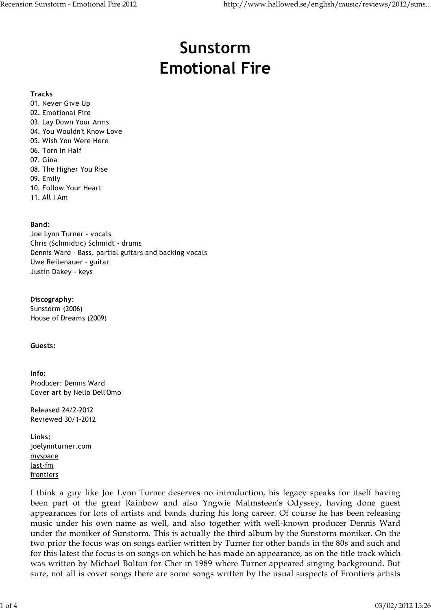# Sunstorm Emotional Fire

#### Tracks

- 01. Never Give Up 02. Emotional Fire 03. Lay Down Your Arms 04. You Wouldn't Know Love 05. Wish You Were Here 06. Torn In Half 07. Gina 08. The Higher You Rise 09. Emily 10. Follow Your Heart
- 11. All I Am

### Band:

Joe Lynn Turner - vocals Chris (Schmidtic) Schmidt - drums Dennis Ward - Bass, partial guitars and backing vocals Uwe Reitenauer - guitar Justin Dakey - keys

Discography: Sunstorm (2006)

House of Dreams (2009)

#### Guests:

Info: Producer: Dennis Ward Cover art by Nello Dell'Omo

Released 24/2-2012 Reviewed 30/1-2012

Links: joelynnturner.com myspace last-fm frontiers

I think a guy like Joe Lynn Turner deserves no introduction, his legacy speaks for itself having been part of the great Rainbow and also Yngwie Malmsteen's Odyssey, having done guest appearances for lots of artists and bands during his long career. Of course he has been releasing music under his own name as well, and also together with well-known producer Dennis Ward under the moniker of Sunstorm. This is actually the third album by the Sunstorm moniker. On the two prior the focus was on songs earlier written by Turner for other bands in the 80s and such and for this latest the focus is on songs on which he has made an appearance, as on the title track which was written by Michael Bolton for Cher in 1989 where Turner appeared singing background. But sure, not all is cover songs there are some songs written by the usual suspects of Frontiers artists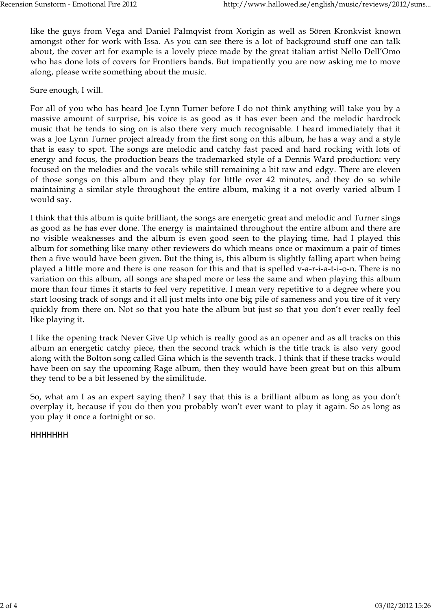like the guys from Vega and Daniel Palmqvist from Xorigin as well as Sören Kronkvist known amongst other for work with Issa. As you can see there is a lot of background stuff one can talk about, the cover art for example is a lovely piece made by the great italian artist Nello Dell'Omo who has done lots of covers for Frontiers bands. But impatiently you are now asking me to move along, please write something about the music.

Sure enough, I will.

For all of you who has heard Joe Lynn Turner before I do not think anything will take you by a massive amount of surprise, his voice is as good as it has ever been and the melodic hardrock music that he tends to sing on is also there very much recognisable. I heard immediately that it was a Joe Lynn Turner project already from the first song on this album, he has a way and a style that is easy to spot. The songs are melodic and catchy fast paced and hard rocking with lots of energy and focus, the production bears the trademarked style of a Dennis Ward production: very focused on the melodies and the vocals while still remaining a bit raw and edgy. There are eleven of those songs on this album and they play for little over 42 minutes, and they do so while maintaining a similar style throughout the entire album, making it a not overly varied album I would say.

I think that this album is quite brilliant, the songs are energetic great and melodic and Turner sings as good as he has ever done. The energy is maintained throughout the entire album and there are no visible weaknesses and the album is even good seen to the playing time, had I played this album for something like many other reviewers do which means once or maximum a pair of times then a five would have been given. But the thing is, this album is slightly falling apart when being played a little more and there is one reason for this and that is spelled v-a-r-i-a-t-i-o-n. There is no variation on this album, all songs are shaped more or less the same and when playing this album more than four times it starts to feel very repetitive. I mean very repetitive to a degree where you start loosing track of songs and it all just melts into one big pile of sameness and you tire of it very quickly from there on. Not so that you hate the album but just so that you don't ever really feel like playing it.

I like the opening track Never Give Up which is really good as an opener and as all tracks on this album an energetic catchy piece, then the second track which is the title track is also very good along with the Bolton song called Gina which is the seventh track. I think that if these tracks would have been on say the upcoming Rage album, then they would have been great but on this album they tend to be a bit lessened by the similitude.

So, what am I as an expert saying then? I say that this is a brilliant album as long as you don't overplay it, because if you do then you probably won't ever want to play it again. So as long as you play it once a fortnight or so.

HHHHHHH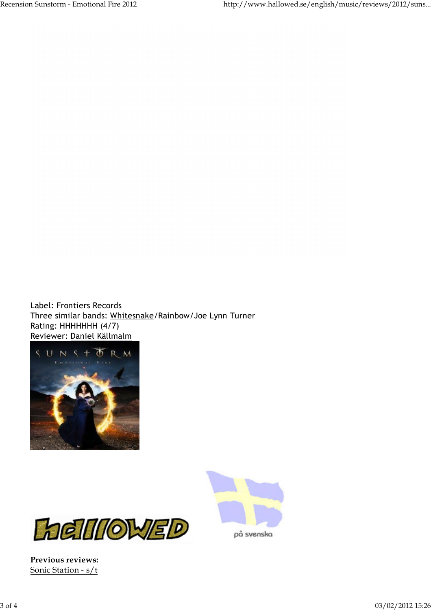Label: Frontiers Records Three similar bands: Whitesnake/Rainbow/Joe Lynn Turner Rating: HHHHHHH (4/7) Reviewer: Daniel Källmalm





Previous reviews: Sonic Station - s/t